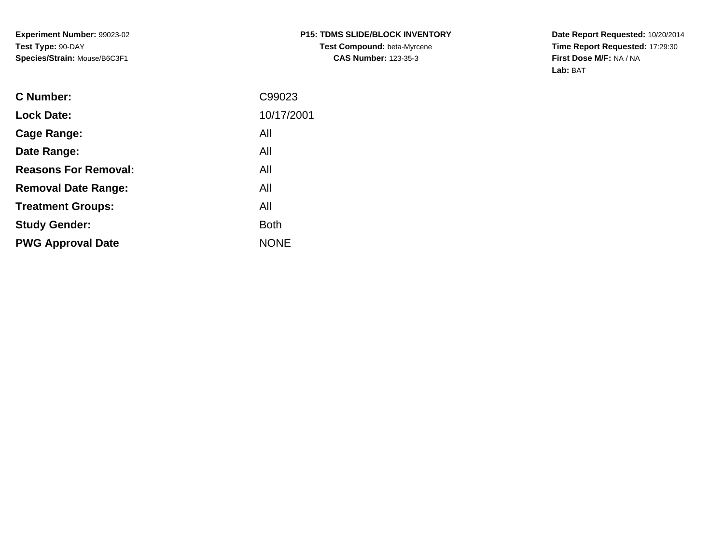**Date Report Requested:** 10/20/2014 **Time Report Requested:** 17:29:30**First Dose M/F:** NA / NA**Lab:** BAT

| <b>Lock Date:</b><br>All<br>Cage Range:<br>All<br>Date Range:<br><b>Reasons For Removal:</b><br>All<br>All<br><b>Removal Date Range:</b><br>All<br><b>Treatment Groups:</b><br><b>Both</b><br><b>Study Gender:</b><br><b>NONE</b><br><b>PWG Approval Date</b> | <b>C</b> Number: | C99023     |
|---------------------------------------------------------------------------------------------------------------------------------------------------------------------------------------------------------------------------------------------------------------|------------------|------------|
|                                                                                                                                                                                                                                                               |                  | 10/17/2001 |
|                                                                                                                                                                                                                                                               |                  |            |
|                                                                                                                                                                                                                                                               |                  |            |
|                                                                                                                                                                                                                                                               |                  |            |
|                                                                                                                                                                                                                                                               |                  |            |
|                                                                                                                                                                                                                                                               |                  |            |
|                                                                                                                                                                                                                                                               |                  |            |
|                                                                                                                                                                                                                                                               |                  |            |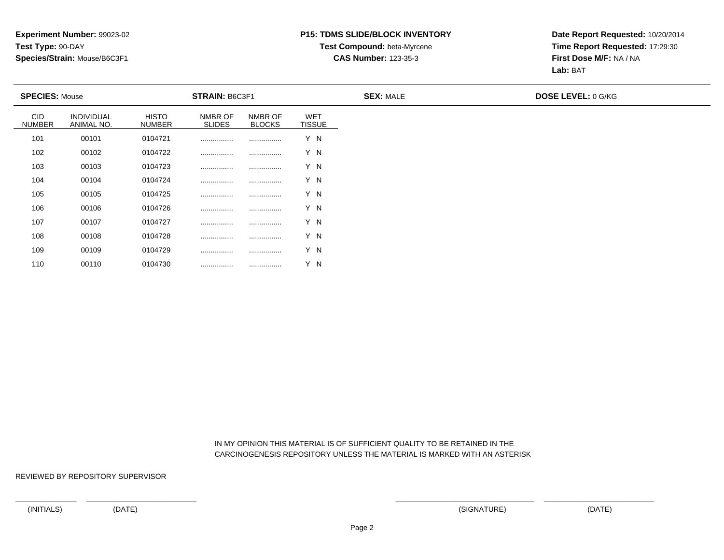# **P15: TDMS SLIDE/BLOCK INVENTORYTest Compound:** beta-Myrcene

**CAS Number:** 123-35-3

**Date Report Requested:** 10/20/2014**Time Report Requested:** 17:29:30**First Dose M/F:** NA / NA**Lab:** BAT

| <b>SPECIES: Mouse</b>       |                                 |                               | <b>STRAIN: B6C3F1</b>    |                          |                             | <b>SEX: MALE</b> | <b>DOSE LEVEL: 0 G/KG</b> |
|-----------------------------|---------------------------------|-------------------------------|--------------------------|--------------------------|-----------------------------|------------------|---------------------------|
| <b>CID</b><br><b>NUMBER</b> | <b>INDIVIDUAL</b><br>ANIMAL NO. | <b>HISTO</b><br><b>NUMBER</b> | NMBR OF<br><b>SLIDES</b> | NMBR OF<br><b>BLOCKS</b> | <b>WET</b><br><b>TISSUE</b> |                  |                           |
| 101                         | 00101                           | 0104721                       |                          |                          | Y N                         |                  |                           |
| 102                         | 00102                           | 0104722                       |                          |                          | Y N                         |                  |                           |
| 103                         | 00103                           | 0104723                       |                          |                          | Y N                         |                  |                           |
| 104                         | 00104                           | 0104724                       |                          |                          | Y N                         |                  |                           |
| 105                         | 00105                           | 0104725                       |                          |                          | Y N                         |                  |                           |
| 106                         | 00106                           | 0104726                       |                          |                          | Y N                         |                  |                           |
| 107                         | 00107                           | 0104727                       |                          |                          | Y N                         |                  |                           |
| 108                         | 00108                           | 0104728                       |                          |                          | Y N                         |                  |                           |
| 109                         | 00109                           | 0104729                       |                          |                          | Y N                         |                  |                           |
| 110                         | 00110                           | 0104730                       |                          |                          | Y N                         |                  |                           |

 IN MY OPINION THIS MATERIAL IS OF SUFFICIENT QUALITY TO BE RETAINED IN THECARCINOGENESIS REPOSITORY UNLESS THE MATERIAL IS MARKED WITH AN ASTERISK

REVIEWED BY REPOSITORY SUPERVISOR

<sup>00110</sup> <sup>0104730</sup> ................ ................ Y N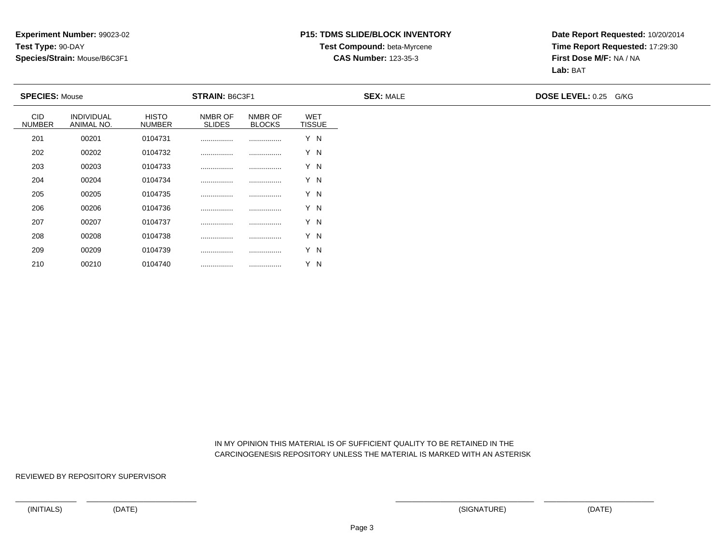# **P15: TDMS SLIDE/BLOCK INVENTORYTest Compound:** beta-Myrcene

## **CAS Number:** 123-35-3

**Date Report Requested:** 10/20/2014**Time Report Requested:** 17:29:30**First Dose M/F:** NA / NA**Lab:** BAT

| <b>SPECIES: Mouse</b>       |                          |                               | STRAIN: B6C3F1           |                          |                             | <b>SEX: MALE</b> | DOSE LEVEL: 0.25 G/KG |
|-----------------------------|--------------------------|-------------------------------|--------------------------|--------------------------|-----------------------------|------------------|-----------------------|
| <b>CID</b><br><b>NUMBER</b> | INDIVIDUAL<br>ANIMAL NO. | <b>HISTO</b><br><b>NUMBER</b> | NMBR OF<br><b>SLIDES</b> | NMBR OF<br><b>BLOCKS</b> | <b>WET</b><br><b>TISSUE</b> |                  |                       |
| 201                         | 00201                    | 0104731                       |                          |                          | Y N                         |                  |                       |
| 202                         | 00202                    | 0104732                       |                          |                          | Y N                         |                  |                       |
| 203                         | 00203                    | 0104733                       |                          |                          | Y N                         |                  |                       |
| 204                         | 00204                    | 0104734                       |                          |                          | Y N                         |                  |                       |
| 205                         | 00205                    | 0104735                       |                          |                          | Y N                         |                  |                       |
| 206                         | 00206                    | 0104736                       |                          |                          | Y N                         |                  |                       |
| 207                         | 00207                    | 0104737                       |                          |                          | Y N                         |                  |                       |
| 208                         | 00208                    | 0104738                       |                          |                          | Y N                         |                  |                       |
| 209                         | 00209                    | 0104739                       |                          |                          | Y N                         |                  |                       |

 IN MY OPINION THIS MATERIAL IS OF SUFFICIENT QUALITY TO BE RETAINED IN THECARCINOGENESIS REPOSITORY UNLESS THE MATERIAL IS MARKED WITH AN ASTERISK

REVIEWED BY REPOSITORY SUPERVISOR

210

<sup>00210</sup> <sup>0104740</sup> ................ ................ Y N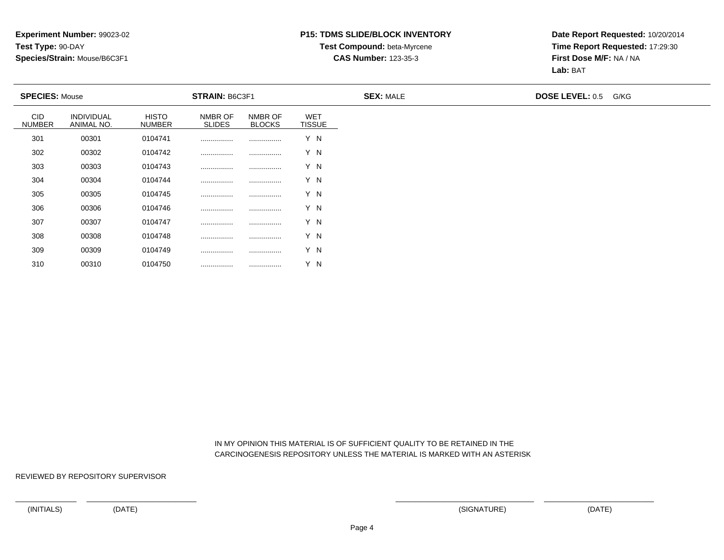## **P15: TDMS SLIDE/BLOCK INVENTORYTest Compound:** beta-Myrcene

**CAS Number:** 123-35-3

**Date Report Requested:** 10/20/2014**Time Report Requested:** 17:29:30**First Dose M/F:** NA / NA**Lab:** BAT

|                             | <b>SPECIES: Mouse</b>    |                               | <b>STRAIN: B6C3F1</b>    |                          |                             | <b>SEX: MALE</b> | <b>DOSE LEVEL: 0.5</b> | G/KG |
|-----------------------------|--------------------------|-------------------------------|--------------------------|--------------------------|-----------------------------|------------------|------------------------|------|
| <b>CID</b><br><b>NUMBER</b> | INDIVIDUAL<br>ANIMAL NO. | <b>HISTO</b><br><b>NUMBER</b> | NMBR OF<br><b>SLIDES</b> | NMBR OF<br><b>BLOCKS</b> | <b>WET</b><br><b>TISSUE</b> |                  |                        |      |
| 301                         | 00301                    | 0104741                       |                          |                          | Y N                         |                  |                        |      |
| 302                         | 00302                    | 0104742                       |                          |                          | Y N                         |                  |                        |      |
| 303                         | 00303                    | 0104743                       |                          |                          | Y N                         |                  |                        |      |
| 304                         | 00304                    | 0104744                       |                          |                          | Y N                         |                  |                        |      |
| 305                         | 00305                    | 0104745                       |                          |                          | Y N                         |                  |                        |      |
| 306                         | 00306                    | 0104746                       |                          |                          | Y N                         |                  |                        |      |
| 307                         | 00307                    | 0104747                       |                          |                          | Y N                         |                  |                        |      |
| 308                         | 00308                    | 0104748                       |                          |                          | Y N                         |                  |                        |      |
| 309                         | 00309                    | 0104749                       |                          |                          | Y N                         |                  |                        |      |

 IN MY OPINION THIS MATERIAL IS OF SUFFICIENT QUALITY TO BE RETAINED IN THECARCINOGENESIS REPOSITORY UNLESS THE MATERIAL IS MARKED WITH AN ASTERISK

REVIEWED BY REPOSITORY SUPERVISOR

310

<sup>00310</sup> <sup>0104750</sup> ................ ................ Y N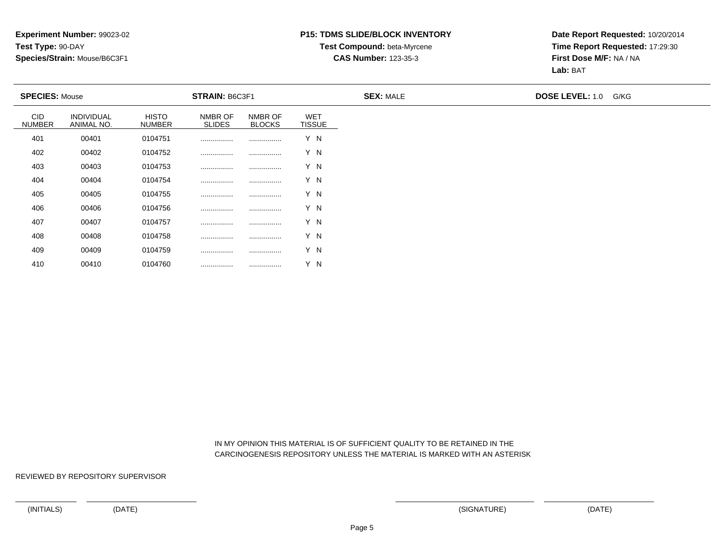# **P15: TDMS SLIDE/BLOCK INVENTORYTest Compound:** beta-Myrcene

## **CAS Number:** 123-35-3

**Date Report Requested:** 10/20/2014**Time Report Requested:** 17:29:30**First Dose M/F:** NA / NA**Lab:** BAT

| <b>SPECIES: Mouse</b>       |                          |                               | STRAIN: B6C3F1           |                          |                             | <b>SEX: MALE</b> | <b>DOSE LEVEL: 1.0</b> | G/KG |
|-----------------------------|--------------------------|-------------------------------|--------------------------|--------------------------|-----------------------------|------------------|------------------------|------|
| <b>CID</b><br><b>NUMBER</b> | INDIVIDUAL<br>ANIMAL NO. | <b>HISTO</b><br><b>NUMBER</b> | NMBR OF<br><b>SLIDES</b> | NMBR OF<br><b>BLOCKS</b> | <b>WET</b><br><b>TISSUE</b> |                  |                        |      |
| 401                         | 00401                    | 0104751                       |                          |                          | Y N                         |                  |                        |      |
| 402                         | 00402                    | 0104752                       |                          |                          | Y N                         |                  |                        |      |
| 403                         | 00403                    | 0104753                       |                          |                          | Y N                         |                  |                        |      |
| 404                         | 00404                    | 0104754                       |                          |                          | Y N                         |                  |                        |      |
| 405                         | 00405                    | 0104755                       |                          |                          | Y N                         |                  |                        |      |
| 406                         | 00406                    | 0104756                       |                          |                          | Y N                         |                  |                        |      |
| 407                         | 00407                    | 0104757                       |                          |                          | Y N                         |                  |                        |      |
| 408                         | 00408                    | 0104758                       |                          |                          | Y N                         |                  |                        |      |
| 409                         | 00409                    | 0104759                       |                          |                          | Y N                         |                  |                        |      |

 IN MY OPINION THIS MATERIAL IS OF SUFFICIENT QUALITY TO BE RETAINED IN THECARCINOGENESIS REPOSITORY UNLESS THE MATERIAL IS MARKED WITH AN ASTERISK

REVIEWED BY REPOSITORY SUPERVISOR

410

<sup>00410</sup> <sup>0104760</sup> ................ ................ Y N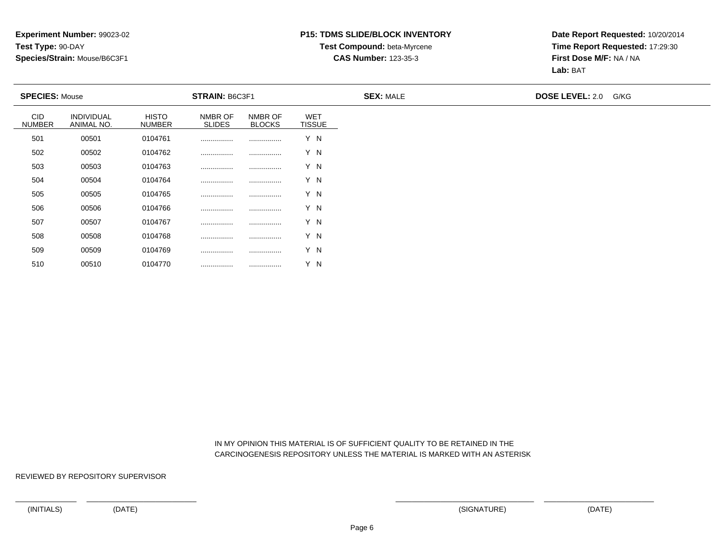# **P15: TDMS SLIDE/BLOCK INVENTORYTest Compound:** beta-Myrcene

**CAS Number:** 123-35-3

**Date Report Requested:** 10/20/2014**Time Report Requested:** 17:29:30**First Dose M/F:** NA / NA**Lab:** BAT

| <b>SPECIES: Mouse</b>       |                          |                               | STRAIN: B6C3F1           |                          |                             | <b>SEX: MALE</b> | <b>DOSE LEVEL: 2.0</b> | G/KG |
|-----------------------------|--------------------------|-------------------------------|--------------------------|--------------------------|-----------------------------|------------------|------------------------|------|
| <b>CID</b><br><b>NUMBER</b> | INDIVIDUAL<br>ANIMAL NO. | <b>HISTO</b><br><b>NUMBER</b> | NMBR OF<br><b>SLIDES</b> | NMBR OF<br><b>BLOCKS</b> | <b>WET</b><br><b>TISSUE</b> |                  |                        |      |
| 501                         | 00501                    | 0104761                       |                          |                          | Y N                         |                  |                        |      |
| 502                         | 00502                    | 0104762                       |                          |                          | Y N                         |                  |                        |      |
| 503                         | 00503                    | 0104763                       |                          |                          | Y N                         |                  |                        |      |
| 504                         | 00504                    | 0104764                       |                          |                          | Y N                         |                  |                        |      |
| 505                         | 00505                    | 0104765                       |                          |                          | Y N                         |                  |                        |      |
| 506                         | 00506                    | 0104766                       |                          |                          | Y N                         |                  |                        |      |
| 507                         | 00507                    | 0104767                       |                          |                          | Y N                         |                  |                        |      |
| 508                         | 00508                    | 0104768                       |                          |                          | Y N                         |                  |                        |      |
| 509                         | 00509                    | 0104769                       |                          |                          | Y N                         |                  |                        |      |

 IN MY OPINION THIS MATERIAL IS OF SUFFICIENT QUALITY TO BE RETAINED IN THECARCINOGENESIS REPOSITORY UNLESS THE MATERIAL IS MARKED WITH AN ASTERISK

REVIEWED BY REPOSITORY SUPERVISOR

510

<sup>00510</sup> <sup>0104770</sup> ................ ................ Y N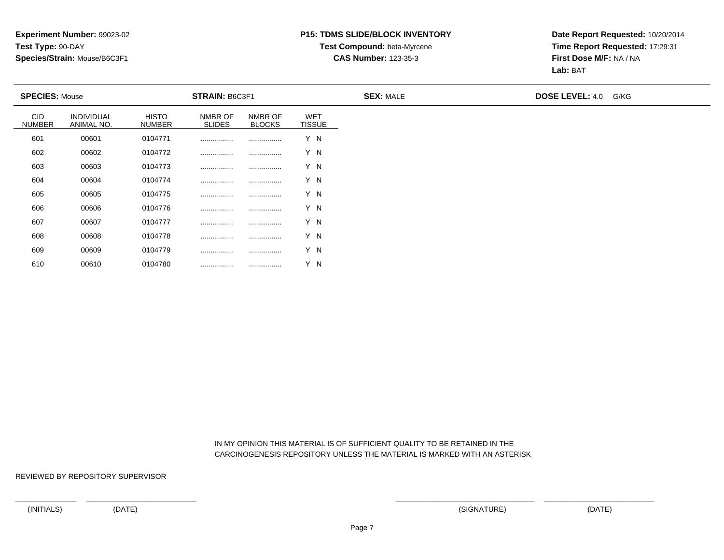## **P15: TDMS SLIDE/BLOCK INVENTORYTest Compound:** beta-Myrcene

**CAS Number:** 123-35-3

**Date Report Requested:** 10/20/2014**Time Report Requested:** 17:29:31**First Dose M/F:** NA / NA**Lab:** BAT

| <b>SPECIES: Mouse</b>       |                                 |                               | <b>STRAIN: B6C3F1</b>    |                          |                             | <b>SEX: MALE</b> | <b>DOSE LEVEL: 4.0</b> | G/KG |
|-----------------------------|---------------------------------|-------------------------------|--------------------------|--------------------------|-----------------------------|------------------|------------------------|------|
| <b>CID</b><br><b>NUMBER</b> | <b>INDIVIDUAL</b><br>ANIMAL NO. | <b>HISTO</b><br><b>NUMBER</b> | NMBR OF<br><b>SLIDES</b> | NMBR OF<br><b>BLOCKS</b> | <b>WET</b><br><b>TISSUE</b> |                  |                        |      |
| 601                         | 00601                           | 0104771                       |                          |                          | Y N                         |                  |                        |      |
| 602                         | 00602                           | 0104772                       |                          |                          | Y N                         |                  |                        |      |
| 603                         | 00603                           | 0104773                       |                          |                          | Y N                         |                  |                        |      |
| 604                         | 00604                           | 0104774                       |                          |                          | Y N                         |                  |                        |      |
| 605                         | 00605                           | 0104775                       |                          |                          | Y N                         |                  |                        |      |
| 606                         | 00606                           | 0104776                       |                          |                          | Y N                         |                  |                        |      |
| 607                         | 00607                           | 0104777                       |                          |                          | Y N                         |                  |                        |      |
| 608                         | 00608                           | 0104778                       | .                        |                          | Y N                         |                  |                        |      |
| 609                         | 00609                           | 0104779                       |                          |                          | Y N                         |                  |                        |      |

 IN MY OPINION THIS MATERIAL IS OF SUFFICIENT QUALITY TO BE RETAINED IN THECARCINOGENESIS REPOSITORY UNLESS THE MATERIAL IS MARKED WITH AN ASTERISK

REVIEWED BY REPOSITORY SUPERVISOR

610

<sup>00610</sup> <sup>0104780</sup> ................ ................ Y N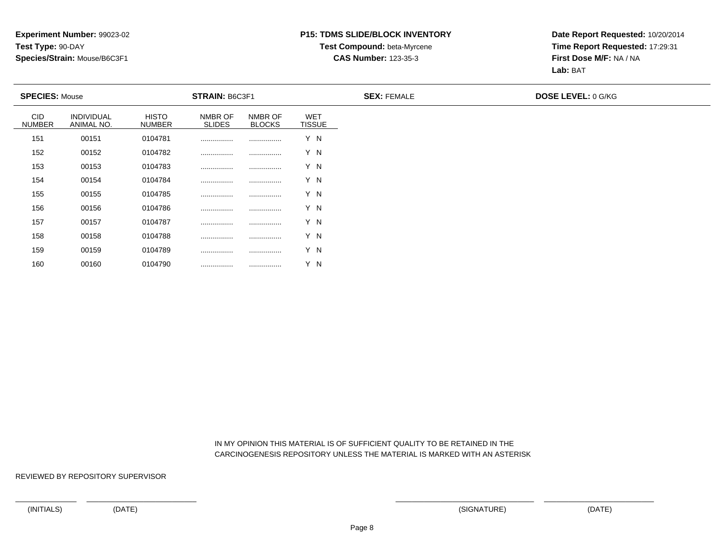### **P15: TDMS SLIDE/BLOCK INVENTORYTest Compound:** beta-Myrcene

#### **CAS Number:** 123-35-3

**Date Report Requested:** 10/20/2014**Time Report Requested:** 17:29:31**First Dose M/F:** NA / NA**Lab:** BAT

| <b>SPECIES: Mouse</b> |                                 |                               | <b>STRAIN: B6C3F1</b>    |                          |                             | <b>SEX: FEMALE</b> | <b>DOSE LEVEL: 0 G/KG</b> |
|-----------------------|---------------------------------|-------------------------------|--------------------------|--------------------------|-----------------------------|--------------------|---------------------------|
| CID<br><b>NUMBER</b>  | <b>INDIVIDUAL</b><br>ANIMAL NO. | <b>HISTO</b><br><b>NUMBER</b> | NMBR OF<br><b>SLIDES</b> | NMBR OF<br><b>BLOCKS</b> | <b>WET</b><br><b>TISSUE</b> |                    |                           |
| 151                   | 00151                           | 0104781                       |                          |                          | Y N                         |                    |                           |
| 152                   | 00152                           | 0104782                       |                          |                          | Y N                         |                    |                           |
| 153                   | 00153                           | 0104783                       |                          |                          | Y N                         |                    |                           |
| 154                   | 00154                           | 0104784                       |                          |                          | Y N                         |                    |                           |
| 155                   | 00155                           | 0104785                       |                          |                          | Y N                         |                    |                           |
| 156                   | 00156                           | 0104786                       |                          |                          | Y N                         |                    |                           |
| 157                   | 00157                           | 0104787                       |                          |                          | Y N                         |                    |                           |
| 158                   | 00158                           | 0104788                       |                          |                          | Y N                         |                    |                           |
| 159                   | 00159                           | 0104789                       |                          |                          | Y N                         |                    |                           |

 IN MY OPINION THIS MATERIAL IS OF SUFFICIENT QUALITY TO BE RETAINED IN THECARCINOGENESIS REPOSITORY UNLESS THE MATERIAL IS MARKED WITH AN ASTERISK

REVIEWED BY REPOSITORY SUPERVISOR

<sup>00160</sup> <sup>0104790</sup> ................ ................ Y N

160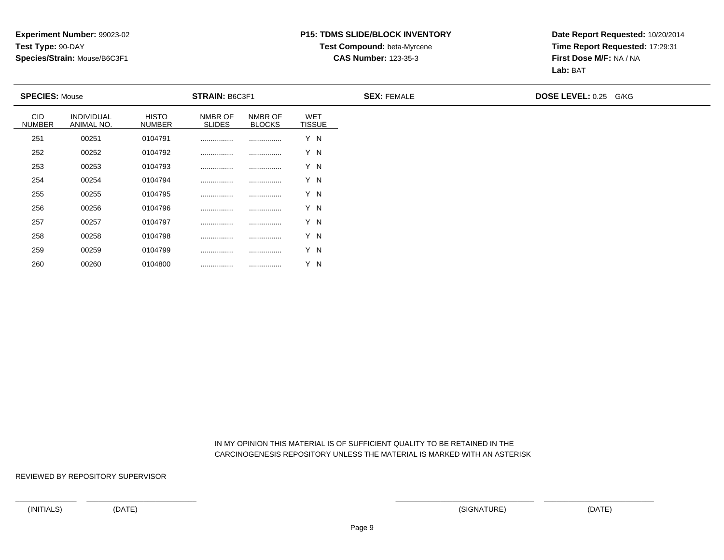## **P15: TDMS SLIDE/BLOCK INVENTORYTest Compound:** beta-Myrcene

#### **CAS Number:** 123-35-3

**Date Report Requested:** 10/20/2014**Time Report Requested:** 17:29:31**First Dose M/F:** NA / NA**Lab:** BAT

| <b>SPECIES: Mouse</b> |                                 |                               | <b>STRAIN: B6C3F1</b>    |                          |                             | <b>SEX: FEMALE</b> | <b>DOSE LEVEL: 0.25 G/KG</b> |  |
|-----------------------|---------------------------------|-------------------------------|--------------------------|--------------------------|-----------------------------|--------------------|------------------------------|--|
| CID<br><b>NUMBER</b>  | <b>INDIVIDUAL</b><br>ANIMAL NO. | <b>HISTO</b><br><b>NUMBER</b> | NMBR OF<br><b>SLIDES</b> | NMBR OF<br><b>BLOCKS</b> | <b>WET</b><br><b>TISSUE</b> |                    |                              |  |
| 251                   | 00251                           | 0104791                       |                          |                          | Y N                         |                    |                              |  |
| 252                   | 00252                           | 0104792                       |                          |                          | Y N                         |                    |                              |  |
| 253                   | 00253                           | 0104793                       |                          |                          | Y N                         |                    |                              |  |
| 254                   | 00254                           | 0104794                       |                          |                          | Y N                         |                    |                              |  |
| 255                   | 00255                           | 0104795                       |                          |                          | Y N                         |                    |                              |  |
| 256                   | 00256                           | 0104796                       |                          |                          | Y N                         |                    |                              |  |
| 257                   | 00257                           | 0104797                       |                          |                          | Y N                         |                    |                              |  |
| 258                   | 00258                           | 0104798                       |                          |                          | Y N                         |                    |                              |  |
| 259                   | 00259                           | 0104799                       |                          |                          | Y N                         |                    |                              |  |

 IN MY OPINION THIS MATERIAL IS OF SUFFICIENT QUALITY TO BE RETAINED IN THECARCINOGENESIS REPOSITORY UNLESS THE MATERIAL IS MARKED WITH AN ASTERISK

REVIEWED BY REPOSITORY SUPERVISOR

260

<sup>00260</sup> <sup>0104800</sup> ................ ................ Y N

(INITIALS) (DATE) (SIGNATURE) (DATE)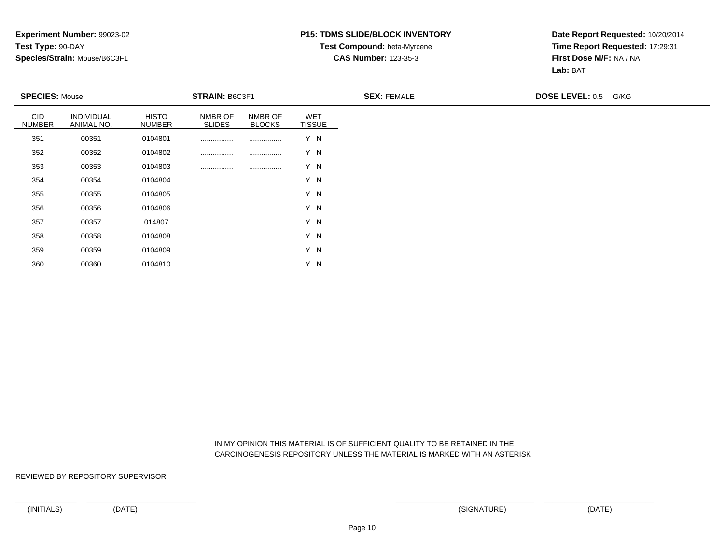## **P15: TDMS SLIDE/BLOCK INVENTORYTest Compound:** beta-Myrcene

#### **CAS Number:** 123-35-3

**Date Report Requested:** 10/20/2014**Time Report Requested:** 17:29:31**First Dose M/F:** NA / NA**Lab:** BAT

|                             | <b>SPECIES: Mouse</b>           |                               | STRAIN: B6C3F1           |                          |                             | <b>SEX: FEMALE</b> | <b>DOSE LEVEL: 0.5</b> | G/KG |
|-----------------------------|---------------------------------|-------------------------------|--------------------------|--------------------------|-----------------------------|--------------------|------------------------|------|
| <b>CID</b><br><b>NUMBER</b> | <b>INDIVIDUAL</b><br>ANIMAL NO. | <b>HISTO</b><br><b>NUMBER</b> | NMBR OF<br><b>SLIDES</b> | NMBR OF<br><b>BLOCKS</b> | <b>WET</b><br><b>TISSUE</b> |                    |                        |      |
| 351                         | 00351                           | 0104801                       |                          |                          | Y N                         |                    |                        |      |
| 352                         | 00352                           | 0104802                       |                          |                          | Y N                         |                    |                        |      |
| 353                         | 00353                           | 0104803                       |                          |                          | Y N                         |                    |                        |      |
| 354                         | 00354                           | 0104804                       |                          |                          | Y N                         |                    |                        |      |
| 355                         | 00355                           | 0104805                       |                          |                          | Y N                         |                    |                        |      |
| 356                         | 00356                           | 0104806                       |                          |                          | Y N                         |                    |                        |      |
| 357                         | 00357                           | 014807                        |                          |                          | Y N                         |                    |                        |      |
| 358                         | 00358                           | 0104808                       |                          |                          | Y N                         |                    |                        |      |
| 359                         | 00359                           | 0104809                       |                          |                          | Y N                         |                    |                        |      |

 IN MY OPINION THIS MATERIAL IS OF SUFFICIENT QUALITY TO BE RETAINED IN THECARCINOGENESIS REPOSITORY UNLESS THE MATERIAL IS MARKED WITH AN ASTERISK

REVIEWED BY REPOSITORY SUPERVISOR

360

<sup>00360</sup> <sup>0104810</sup> ................ ................ Y N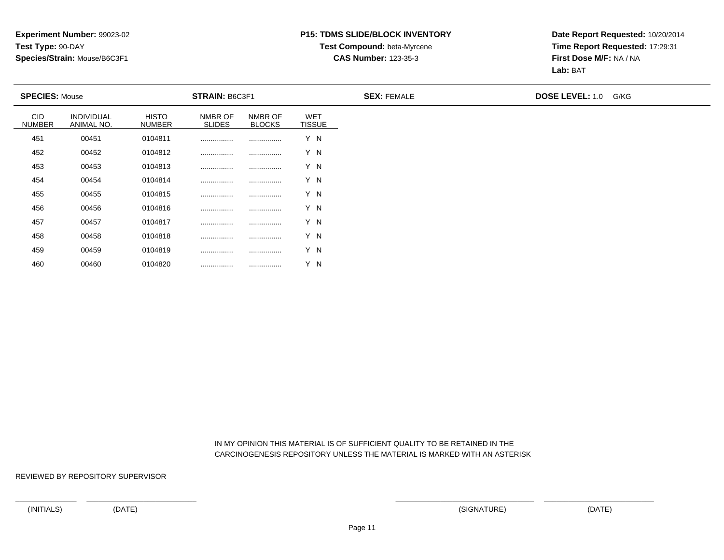## **P15: TDMS SLIDE/BLOCK INVENTORYTest Compound:** beta-Myrcene

#### **CAS Number:** 123-35-3

**Date Report Requested:** 10/20/2014**Time Report Requested:** 17:29:31**First Dose M/F:** NA / NA**Lab:** BAT

| <b>SPECIES: Mouse</b>       |                          |                               | <b>STRAIN: B6C3F1</b>    |                          |                             | <b>SEX: FEMALE</b> | <b>DOSE LEVEL: 1.0</b> | G/KG |
|-----------------------------|--------------------------|-------------------------------|--------------------------|--------------------------|-----------------------------|--------------------|------------------------|------|
| <b>CID</b><br><b>NUMBER</b> | INDIVIDUAL<br>ANIMAL NO. | <b>HISTO</b><br><b>NUMBER</b> | NMBR OF<br><b>SLIDES</b> | NMBR OF<br><b>BLOCKS</b> | <b>WET</b><br><b>TISSUE</b> |                    |                        |      |
| 451                         | 00451                    | 0104811                       |                          |                          | Y N                         |                    |                        |      |
| 452                         | 00452                    | 0104812                       |                          |                          | Y N                         |                    |                        |      |
| 453                         | 00453                    | 0104813                       |                          |                          | Y N                         |                    |                        |      |
| 454                         | 00454                    | 0104814                       |                          |                          | Y N                         |                    |                        |      |
| 455                         | 00455                    | 0104815                       |                          |                          | Y N                         |                    |                        |      |
| 456                         | 00456                    | 0104816                       |                          |                          | Y N                         |                    |                        |      |
| 457                         | 00457                    | 0104817                       |                          |                          | Y N                         |                    |                        |      |
| 458                         | 00458                    | 0104818                       |                          | .                        | Y N                         |                    |                        |      |
| 459                         | 00459                    | 0104819                       |                          |                          | Y N                         |                    |                        |      |

 IN MY OPINION THIS MATERIAL IS OF SUFFICIENT QUALITY TO BE RETAINED IN THECARCINOGENESIS REPOSITORY UNLESS THE MATERIAL IS MARKED WITH AN ASTERISK

REVIEWED BY REPOSITORY SUPERVISOR

<sup>00460</sup> <sup>0104820</sup> ................ ................ Y N

460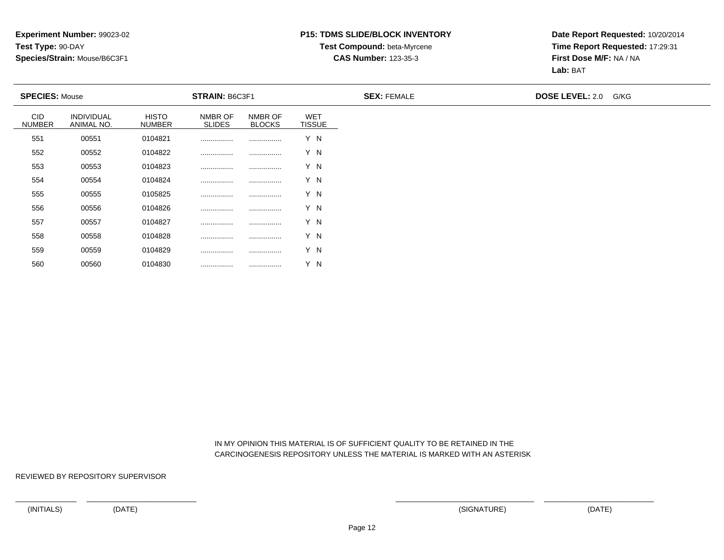## **P15: TDMS SLIDE/BLOCK INVENTORYTest Compound:** beta-Myrcene

#### **CAS Number:** 123-35-3

**Date Report Requested:** 10/20/2014**Time Report Requested:** 17:29:31**First Dose M/F:** NA / NA**Lab:** BAT

| <b>SPECIES: Mouse</b>       |                          |                               | STRAIN: B6C3F1           |                          |                             | <b>SEX: FEMALE</b> | <b>DOSE LEVEL: 2.0</b> | G/KG |
|-----------------------------|--------------------------|-------------------------------|--------------------------|--------------------------|-----------------------------|--------------------|------------------------|------|
| <b>CID</b><br><b>NUMBER</b> | INDIVIDUAL<br>ANIMAL NO. | <b>HISTO</b><br><b>NUMBER</b> | NMBR OF<br><b>SLIDES</b> | NMBR OF<br><b>BLOCKS</b> | <b>WET</b><br><b>TISSUE</b> |                    |                        |      |
| 551                         | 00551                    | 0104821                       |                          |                          | Y N                         |                    |                        |      |
| 552                         | 00552                    | 0104822                       |                          |                          | Y N                         |                    |                        |      |
| 553                         | 00553                    | 0104823                       |                          |                          | Y N                         |                    |                        |      |
| 554                         | 00554                    | 0104824                       |                          |                          | Y N                         |                    |                        |      |
| 555                         | 00555                    | 0105825                       |                          |                          | Y N                         |                    |                        |      |
| 556                         | 00556                    | 0104826                       |                          |                          | Y N                         |                    |                        |      |
| 557                         | 00557                    | 0104827                       |                          |                          | Y N                         |                    |                        |      |
| 558                         | 00558                    | 0104828                       |                          |                          | Y N                         |                    |                        |      |
| 559                         | 00559                    | 0104829                       |                          |                          | Y N                         |                    |                        |      |

 IN MY OPINION THIS MATERIAL IS OF SUFFICIENT QUALITY TO BE RETAINED IN THECARCINOGENESIS REPOSITORY UNLESS THE MATERIAL IS MARKED WITH AN ASTERISK

REVIEWED BY REPOSITORY SUPERVISOR

<sup>00560</sup> <sup>0104830</sup> ................ ................ Y N

560